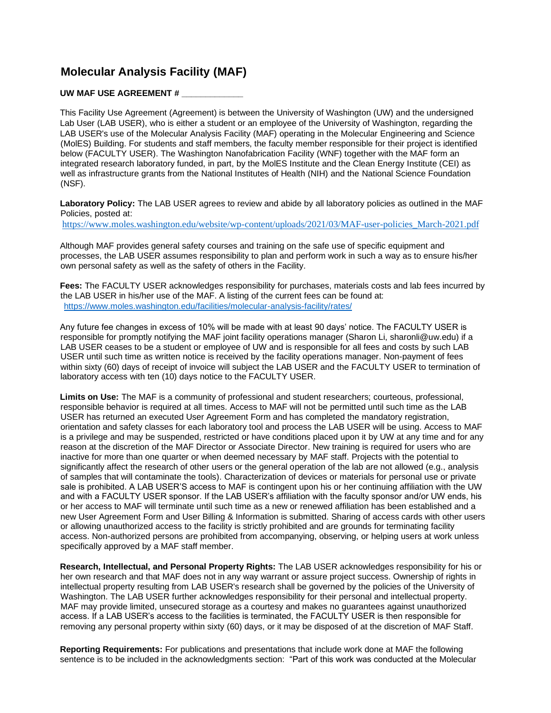## **Molecular Analysis Facility (MAF)**

## **UW MAF USE AGREEMENT # \_\_\_\_\_\_\_\_\_\_\_\_\_**

This Facility Use Agreement (Agreement) is between the University of Washington (UW) and the undersigned Lab User (LAB USER), who is either a student or an employee of the University of Washington, regarding the LAB USER's use of the Molecular Analysis Facility (MAF) operating in the Molecular Engineering and Science (MolES) Building. For students and staff members, the faculty member responsible for their project is identified below (FACULTY USER). The Washington Nanofabrication Facility (WNF) together with the MAF form an integrated research laboratory funded, in part, by the MolES Institute and the Clean Energy Institute (CEI) as well as infrastructure grants from the National Institutes of Health (NIH) and the National Science Foundation (NSF).

**Laboratory Policy:** The LAB USER agrees to review and abide by all laboratory policies as outlined in the MAF Policies, posted at:

[https://www.moles.washington.edu/website/wp-content/uploads/2021/03/MAF-user-policies\\_March-2021.pdf](https://www.moles.washington.edu/website/wp-content/uploads/2021/03/MAF-user-policies_March-2021.pdf)

Although MAF provides general safety courses and training on the safe use of specific equipment and processes, the LAB USER assumes responsibility to plan and perform work in such a way as to ensure his/her own personal safety as well as the safety of others in the Facility.

**Fees:** The FACULTY USER acknowledges responsibility for purchases, materials costs and lab fees incurred by the LAB USER in his/her use of the MAF. A listing of the current fees can be found at: <https://www.moles.washington.edu/facilities/molecular-analysis-facility/rates/>

Any future fee changes in excess of 10% will be made with at least 90 days' notice. The FACULTY USER is responsible for promptly notifying the MAF joint facility operations manager (Sharon Li, sharonli@uw.edu) if a LAB USER ceases to be a student or employee of UW and is responsible for all fees and costs by such LAB USER until such time as written notice is received by the facility operations manager. Non-payment of fees within sixty (60) days of receipt of invoice will subject the LAB USER and the FACULTY USER to termination of laboratory access with ten (10) days notice to the FACULTY USER.

**Limits on Use:** The MAF is a community of professional and student researchers; courteous, professional, responsible behavior is required at all times. Access to MAF will not be permitted until such time as the LAB USER has returned an executed User Agreement Form and has completed the mandatory registration, orientation and safety classes for each laboratory tool and process the LAB USER will be using. Access to MAF is a privilege and may be suspended, restricted or have conditions placed upon it by UW at any time and for any reason at the discretion of the MAF Director or Associate Director. New training is required for users who are inactive for more than one quarter or when deemed necessary by MAF staff. Projects with the potential to significantly affect the research of other users or the general operation of the lab are not allowed (e.g., analysis of samples that will contaminate the tools). Characterization of devices or materials for personal use or private sale is prohibited. A LAB USER'S access to MAF is contingent upon his or her continuing affiliation with the UW and with a FACULTY USER sponsor. If the LAB USER's affiliation with the faculty sponsor and/or UW ends, his or her access to MAF will terminate until such time as a new or renewed affiliation has been established and a new User Agreement Form and User Billing & Information is submitted. Sharing of access cards with other users or allowing unauthorized access to the facility is strictly prohibited and are grounds for terminating facility access. Non-authorized persons are prohibited from accompanying, observing, or helping users at work unless specifically approved by a MAF staff member.

**Research, Intellectual, and Personal Property Rights:** The LAB USER acknowledges responsibility for his or her own research and that MAF does not in any way warrant or assure project success. Ownership of rights in intellectual property resulting from LAB USER's research shall be governed by the policies of the University of Washington. The LAB USER further acknowledges responsibility for their personal and intellectual property. MAF may provide limited, unsecured storage as a courtesy and makes no guarantees against unauthorized access. If a LAB USER's access to the facilities is terminated, the FACULTY USER is then responsible for removing any personal property within sixty (60) days, or it may be disposed of at the discretion of MAF Staff.

**Reporting Requirements:** For publications and presentations that include work done at MAF the following sentence is to be included in the acknowledgments section:"Part of this work was conducted at the Molecular